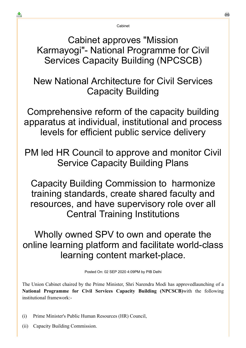Cabinet

Cabinet approves "Mission Karmayogi"- National Programme for Civil Services Capacity Building (NPCSCB)

New National Architecture for Civil Services Capacity Building

Comprehensive reform of the capacity building apparatus at individual, institutional and process levels for efficient public service delivery

PM led HR Council to approve and monitor Civil Service Capacity Building Plans

Capacity Building Commission to harmonize training standards, create shared faculty and resources, and have supervisory role over all Central Training Institutions

Wholly owned SPV to own and operate the online learning platform and facilitate world-class learning content market-place.

Posted On: 02 SEP 2020 4:09PM by PIB Delhi

The Union Cabinet chaired by the Prime Minister, Shri Narendra Modi has approvedlaunching of a **National Programme for Civil Services Capacity Building (NPCSCB)**with the following institutional framework:-

- (i) Prime Minister's Public Human Resources (HR) Council,
- (ii) Capacity Building Commission.

≛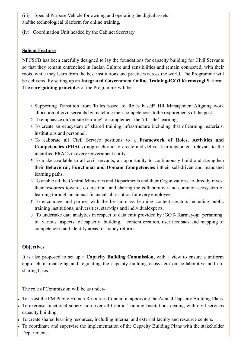(iii) Special Purpose Vehicle for owning and operating the digital assets andthe technological platform for online training,

(iv) Coordination Unit headed by the Cabinet Secretary.

#### **Salient Features**

NPCSCB has been carefully designed to lay the foundations for capacity building for Civil Servants so that they remain entrenched in Indian Culture and sensibilities and remain connected, with their roots, while they learn from the best institutions and practices across the world. The Programme will be delivered by setting up an **Integrated Government Online Training-iGOTKarmayogi**Platform. The **core guiding principles** of the Programme will be:

- 1. Supporting Transition from 'Rules based' to 'Roles based\* HR Management.Aligning work allocation of civil servants by matching their competencies tothe requirements of the post.
- 2. To emphasize on 'on-site learning' to complement the 'off-site' learning,
- 3. To create an ecosystem of shared training infrastructure including that oflearning materials, institutions and personnel,
- 4. To calibrate all Civil Service positions to a **Framework of Roles, Activities and Competencies (FRACs)** approach and to create and deliver learningcontent relevant to the identified FRACs in every Government entity,
- 5. To make available to all civil servants, an opportunity to continuously build and strengthen their **Behavioral, Functional and Domain Competencies** intheir self-driven and mandated learning paths.
- 6. To enable all the Central Ministries and Departments and their Organizations to directly invest their resources towards co-creation and sharing the collaborative and common ecosystem of learning through an annual financialsubscription for every employee,
- 7. To encourage and partner with the best-in-class learning content creators including public training institutions, universities, start-tips and individualexperts,
- 8. To undertake data analytics in respect of data emit provided by iGOT- Karmayogi pertaining to various aspects of capacity building, content creation, user feedback and mapping of competencies and identify areas for policy reforms.

## **Objectives**

It is also proposed to set up a **Capacity Building Commission,** with a view to ensure a uniform approach in managing and regulating the capacity building ecosystem on collaborative and cosharing basis.

The role of Commission will be as under-

- To assist the PM Public Human Resources Council in approving the Annual Capacity Building Plans.
- To exercise functional supervision over all Central Training Institutions dealing with civil services capacity building.
- To create shared learning resources, including internal and external faculty and resource centers.
- To coordinate and supervise the implementation of the Capacity Building Plans with the stakeholder Departments.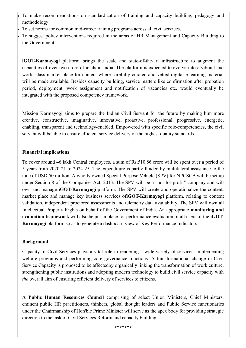- To make recommendations on standardization of training and capacity building, pedagogy and methodology
- To set norms for common mid-career training programs across all civil services.
- To suggest policy interventions required in the areas of HR Management and Capacity Building to the Government.

**iGOT-Karmayogi** platform brings the scale and state-of-the-art infrastructure to augment the capacities of over two crore officials in India. The platform is expected to evolve into a vibrant and world-class market place for content where carefully curated and vetted digital e-learning material will be made available. Besides capacity building, service matters like confirmation after probation period, deployment, work assignment and notification of vacancies etc. would eventually be integrated with the proposed competency framework.

Mission Karmayogi aims to prepare the Indian Civil Servant for the future by making him more creative, constructive, imaginative, innovative, proactive, professional, progressive, energetic, enabling, transparent and technology-enabled. Empowered with specific role-competencies, the civil servant will be able to ensure efficient service delivery of the highest quality standards.

### **Financial implications**

To cover around 46 lakh Central employees, a sum of Rs.510.86 crore will be spent over a period of 5 years from 2020-21 to 2024-25. The expenditure is partly funded by multilateral assistance to the tune of USD 50 million. A wholly owned Special Purpose Vehicle (SPV) for NPCSCB will be set up under Section 8 of the Companies Act, 2013. The SPV will be a "not-for-profit" company and will own and manage **iGOT-Karmayogi** platform. The SPV will create and operationalize the content, market place and manage key business services of**iGOT-Karmayogi** platform, relating to content validation, independent proctored assessments and telemetry data availability. The SPV will own all Intellectual Property Rights on behalf of the Government of India. An appropriate **monitoring and evaluation framework** will also be put in place for performance evaluation of all users of the **iGOT-Karmayogi** platform so as to generate a dashboard view of Key Performance Indicators.

## **Background**

Capacity of Civil Services plays a vital role in rendering a wide variety of services, implementing welfare programs and performing core governance functions. A transformational change in Civil Service Capacity is proposed to be affectedby organically linking the transformation of work culture, strengthening public institutions and adopting modern technology to build civil service capacity with *the* overall aim of ensuring efficient delivery of services to citizens.

**A Public Human Resources Council** comprising of select Union Ministers, Chief Ministers, eminent public HR practitioners, thinkers, global thought leaders and Public Service functionaries under the Chairmanship of Hon'ble Prime Minister will serve as the apex body for providing strategic direction to the task of Civil Services Reform and capacity building.

\*\*\*\*\*\*\*